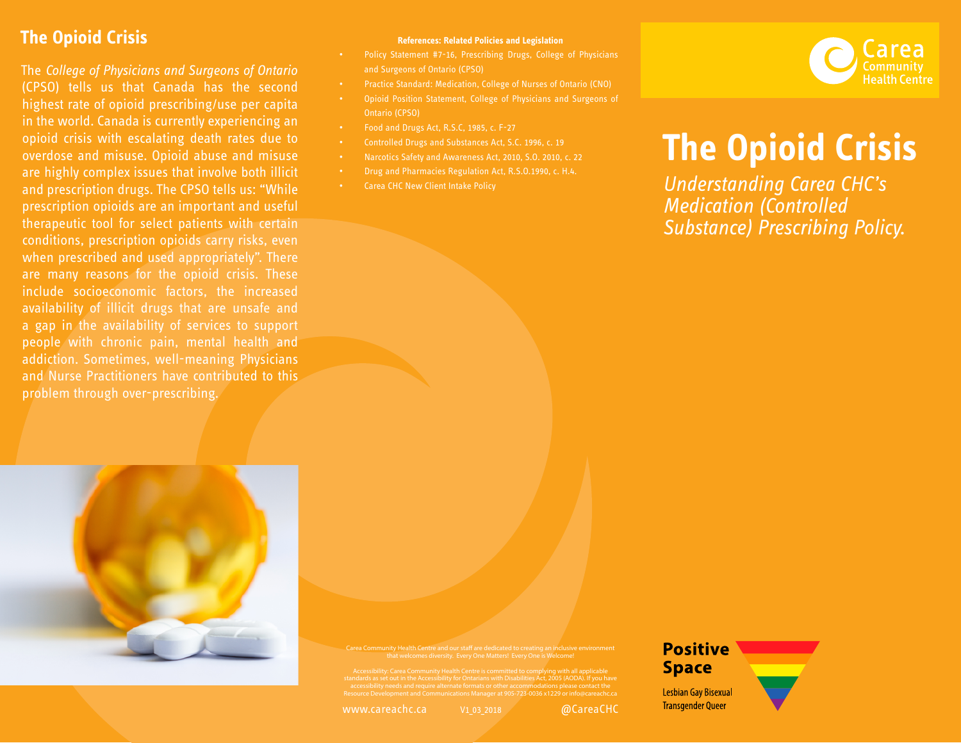## **The Opioid Crisis**

The *College of Physicians and Surgeons of Ontario* (CPSO) tells us that Canada has the second highest rate of opioid prescribing/use per capita in the world. Canada is currently experiencing an opioid crisis with escalating death rates due to overdose and misuse. Opioid abuse and misuse are highly complex issues that involve both illicit and prescription drugs. The CPSO tells us: "While prescription opioids are an important and useful therapeutic tool for select patients with certain conditions, prescription opioids carry risks, even when prescribed and used appropriately". There are many reasons for the opioid crisis. These include socioeconomic factors, the increased availability of illicit drugs that are unsafe and a gap in the availability of services to support people with chronic pain, mental health and addiction. Sometimes, well-meaning Physicians and Nurse Practitioners have contributed to this problem through over-prescribing.



- Policy Statement #7-16, Prescribing Drugs, College of Physicians and Surgeons of Ontario (CPSO)
- Practice Standard: Medication, College of Nurses of Ontario (CNO)
- Opioid Position Statement, College of Physicians and Surgeons of Ontario (CPSO)
- Food and Drugs Act, R.S.C, 1985, c. F-27
- Controlled Drugs and Substances Act, S.C. 1996, c. 19
- Narcotics Safety and Awareness Act, 2010, S.O. 2010, c. 22
- Drug and Pharmacies Regulation Act, R.S.O.1990, c. H.4.
- Carea CHC New Client Intake Policy



## **The Opioid Crisis**

*Understanding Carea CHC's Medication (Controlled Substance) Prescribing Policy.*



Carea Community Health Centre and our staff are dedicated to creating an inclusive environment that welcomes diversity. Every One Matters! Every One is Welcome!

Accessibility: Carea Community Health Centre is committed to complying with all applicable<br>standards as set out in the Accessibility for Ontarians with Disabilities Act, 2005 (AODA). If you have<br>accessibility for ontarians

V1\_03\_2018

www.careachc.ca @CareaCHC